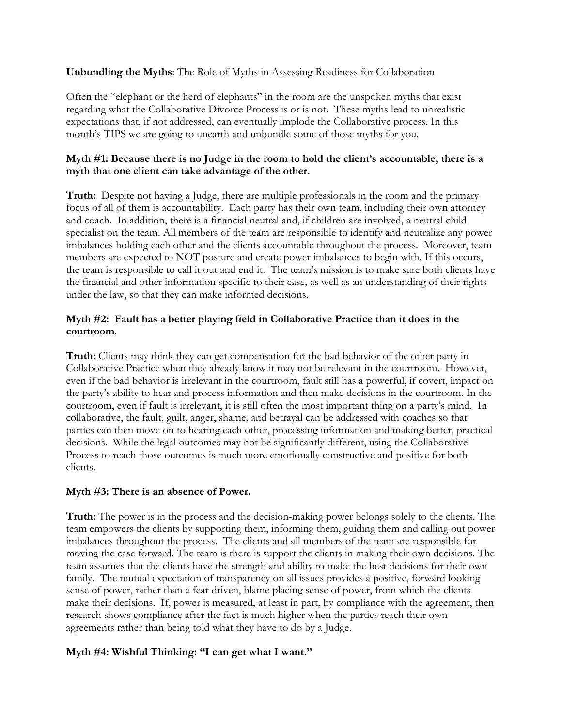**Unbundling the Myths**: The Role of Myths in Assessing Readiness for Collaboration

Often the "elephant or the herd of elephants" in the room are the unspoken myths that exist regarding what the Collaborative Divorce Process is or is not. These myths lead to unrealistic expectations that, if not addressed, can eventually implode the Collaborative process. In this month's TIPS we are going to unearth and unbundle some of those myths for you.

### **Myth #1: Because there is no Judge in the room to hold the client's accountable, there is a myth that one client can take advantage of the other.**

**Truth:** Despite not having a Judge, there are multiple professionals in the room and the primary focus of all of them is accountability. Each party has their own team, including their own attorney and coach. In addition, there is a financial neutral and, if children are involved, a neutral child specialist on the team. All members of the team are responsible to identify and neutralize any power imbalances holding each other and the clients accountable throughout the process. Moreover, team members are expected to NOT posture and create power imbalances to begin with. If this occurs, the team is responsible to call it out and end it. The team's mission is to make sure both clients have the financial and other information specific to their case, as well as an understanding of their rights under the law, so that they can make informed decisions.

## **Myth #2: Fault has a better playing field in Collaborative Practice than it does in the courtroom**.

**Truth:** Clients may think they can get compensation for the bad behavior of the other party in Collaborative Practice when they already know it may not be relevant in the courtroom. However, even if the bad behavior is irrelevant in the courtroom, fault still has a powerful, if covert, impact on the party's ability to hear and process information and then make decisions in the courtroom. In the courtroom, even if fault is irrelevant, it is still often the most important thing on a party's mind. In collaborative, the fault, guilt, anger, shame, and betrayal can be addressed with coaches so that parties can then move on to hearing each other, processing information and making better, practical decisions. While the legal outcomes may not be significantly different, using the Collaborative Process to reach those outcomes is much more emotionally constructive and positive for both clients.

### **Myth #3: There is an absence of Power.**

**Truth:** The power is in the process and the decision-making power belongs solely to the clients. The team empowers the clients by supporting them, informing them, guiding them and calling out power imbalances throughout the process. The clients and all members of the team are responsible for moving the case forward. The team is there is support the clients in making their own decisions. The team assumes that the clients have the strength and ability to make the best decisions for their own family. The mutual expectation of transparency on all issues provides a positive, forward looking sense of power, rather than a fear driven, blame placing sense of power, from which the clients make their decisions. If, power is measured, at least in part, by compliance with the agreement, then research shows compliance after the fact is much higher when the parties reach their own agreements rather than being told what they have to do by a Judge.

# **Myth #4: Wishful Thinking: "I can get what I want."**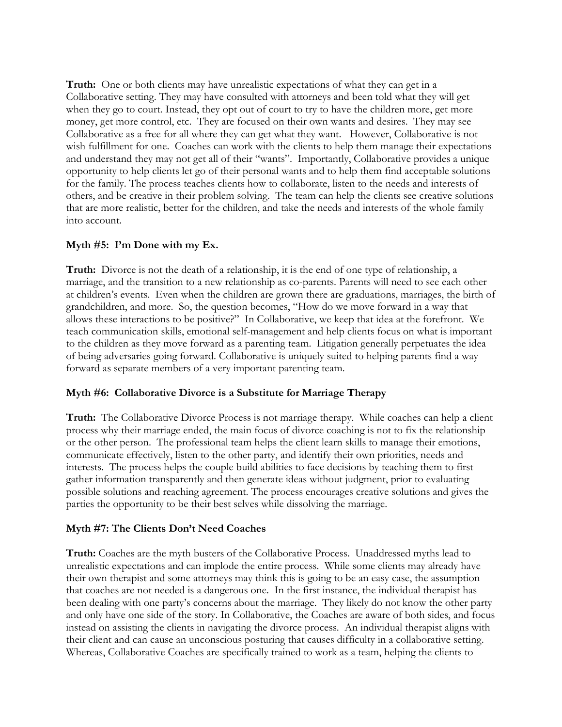**Truth:** One or both clients may have unrealistic expectations of what they can get in a Collaborative setting. They may have consulted with attorneys and been told what they will get when they go to court. Instead, they opt out of court to try to have the children more, get more money, get more control, etc. They are focused on their own wants and desires. They may see Collaborative as a free for all where they can get what they want. However, Collaborative is not wish fulfillment for one. Coaches can work with the clients to help them manage their expectations and understand they may not get all of their "wants". Importantly, Collaborative provides a unique opportunity to help clients let go of their personal wants and to help them find acceptable solutions for the family. The process teaches clients how to collaborate, listen to the needs and interests of others, and be creative in their problem solving. The team can help the clients see creative solutions that are more realistic, better for the children, and take the needs and interests of the whole family into account.

### **Myth #5: I'm Done with my Ex.**

**Truth:** Divorce is not the death of a relationship, it is the end of one type of relationship, a marriage, and the transition to a new relationship as co-parents. Parents will need to see each other at children's events. Even when the children are grown there are graduations, marriages, the birth of grandchildren, and more. So, the question becomes, "How do we move forward in a way that allows these interactions to be positive?" In Collaborative, we keep that idea at the forefront. We teach communication skills, emotional self-management and help clients focus on what is important to the children as they move forward as a parenting team. Litigation generally perpetuates the idea of being adversaries going forward. Collaborative is uniquely suited to helping parents find a way forward as separate members of a very important parenting team.

### **Myth #6: Collaborative Divorce is a Substitute for Marriage Therapy**

**Truth:** The Collaborative Divorce Process is not marriage therapy. While coaches can help a client process why their marriage ended, the main focus of divorce coaching is not to fix the relationship or the other person. The professional team helps the client learn skills to manage their emotions, communicate effectively, listen to the other party, and identify their own priorities, needs and interests. The process helps the couple build abilities to face decisions by teaching them to first gather information transparently and then generate ideas without judgment, prior to evaluating possible solutions and reaching agreement. The process encourages creative solutions and gives the parties the opportunity to be their best selves while dissolving the marriage.

### **Myth #7: The Clients Don't Need Coaches**

**Truth:** Coaches are the myth busters of the Collaborative Process. Unaddressed myths lead to unrealistic expectations and can implode the entire process. While some clients may already have their own therapist and some attorneys may think this is going to be an easy case, the assumption that coaches are not needed is a dangerous one. In the first instance, the individual therapist has been dealing with one party's concerns about the marriage. They likely do not know the other party and only have one side of the story. In Collaborative, the Coaches are aware of both sides, and focus instead on assisting the clients in navigating the divorce process. An individual therapist aligns with their client and can cause an unconscious posturing that causes difficulty in a collaborative setting. Whereas, Collaborative Coaches are specifically trained to work as a team, helping the clients to